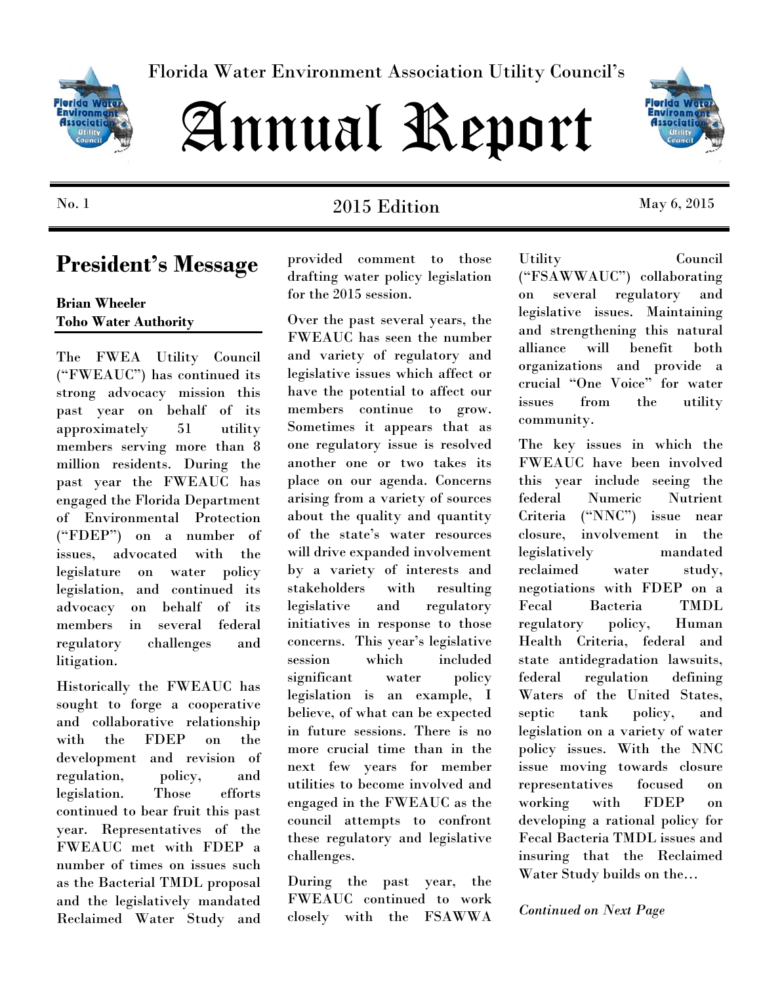

Florida Water Environment Association Utility Council's

# Annual Report



### No. 1 2015 Edition May 6, 2015

provided comment to those drafting water policy legislation for the 2015 session.

Over the past several years, the FWEAUC has seen the number and variety of regulatory and legislative issues which affect or have the potential to affect our members continue to grow. Sometimes it appears that as one regulatory issue is resolved another one or two takes its place on our agenda. Concerns arising from a variety of sources about the quality and quantity of the state's water resources will drive expanded involvement by a variety of interests and stakeholders with resulting legislative and regulatory initiatives in response to those concerns. This year's legislative session which included significant water policy legislation is an example, I believe, of what can be expected in future sessions. There is no more crucial time than in the next few years for member utilities to become involved and engaged in the FWEAUC as the council attempts to confront these regulatory and legislative challenges.

During the past year, the FWEAUC continued to work closely with the FSAWWA

Utility Council ("FSAWWAUC") collaborating on several regulatory and legislative issues. Maintaining and strengthening this natural alliance will benefit both organizations and provide a crucial "One Voice" for water issues from the utility community.

The key issues in which the FWEAUC have been involved this year include seeing the federal Numeric Nutrient Criteria ("NNC") issue near closure, involvement in the legislatively mandated reclaimed water study, negotiations with FDEP on a Fecal Bacteria TMDL regulatory policy, Human Health Criteria, federal and state antidegradation lawsuits, federal regulation defining Waters of the United States, septic tank policy, and legislation on a variety of water policy issues. With the NNC issue moving towards closure representatives focused on working with FDEP on developing a rational policy for Fecal Bacteria TMDL issues and insuring that the Reclaimed Water Study builds on the…

*Continued on Next Page* 

## **President's Message**

**Brian Wheeler Toho Water Authority** 

The FWEA Utility Council ("FWEAUC") has continued its strong advocacy mission this past year on behalf of its approximately 51 utility members serving more than 8 million residents. During the past year the FWEAUC has engaged the Florida Department of Environmental Protection ("FDEP") on a number of issues, advocated with the legislature on water policy legislation, and continued its advocacy on behalf of its members in several federal regulatory challenges and litigation.

Historically the FWEAUC has sought to forge a cooperative and collaborative relationship with the FDEP on the development and revision of regulation, policy, and legislation. Those efforts continued to bear fruit this past year. Representatives of the FWEAUC met with FDEP a number of times on issues such as the Bacterial TMDL proposal and the legislatively mandated Reclaimed Water Study and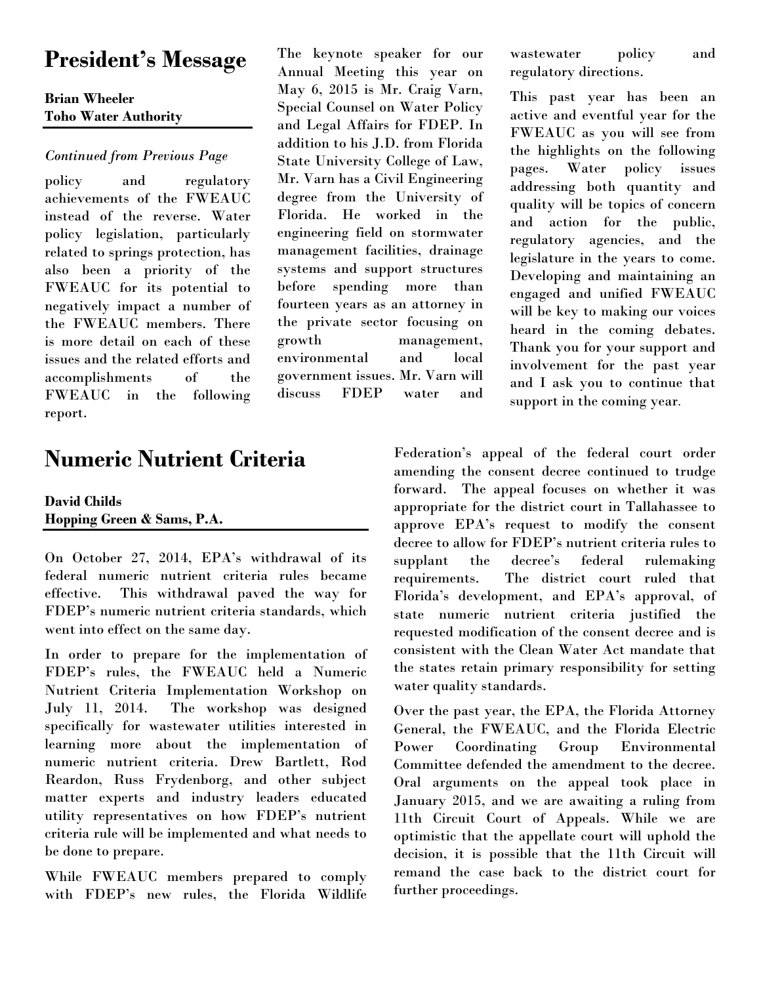## **President's Message**

### **Brian Wheeler Toho Water Authority**

#### *Continued from Previous Page*

policy and regulatory achievements of the FWEAUC instead of the reverse. Water policy legislation, particularly related to springs protection, has also been a priority of the FWEAUC for its potential to negatively impact a number of the FWEAUC members. There is more detail on each of these issues and the related efforts and accomplishments of the FWEAUC in the following report.

## **Numeric Nutrient Criteria**

#### **David Childs Hopping Green & Sams, P.A.**

On October 27, 2014, EPA's withdrawal of its federal numeric nutrient criteria rules became effective. This withdrawal paved the way for FDEP's numeric nutrient criteria standards, which went into effect on the same day.

In order to prepare for the implementation of FDEP's rules, the FWEAUC held a Numeric Nutrient Criteria Implementation Workshop on July 11, 2014. The workshop was designed specifically for wastewater utilities interested in learning more about the implementation of numeric nutrient criteria. Drew Bartlett, Rod Reardon, Russ Frydenborg, and other subject matter experts and industry leaders educated utility representatives on how FDEP's nutrient criteria rule will be implemented and what needs to be done to prepare.

While FWEAUC members prepared to comply with FDEP's new rules, the Florida Wildlife

The keynote speaker for our Annual Meeting this year on May 6, 2015 is Mr. Craig Varn, Special Counsel on Water Policy and Legal Affairs for FDEP. In addition to his J.D. from Florida State University College of Law, Mr. Varn has a Civil Engineering degree from the University of Florida. He worked in the engineering field on stormwater management facilities, drainage systems and support structures before spending more than fourteen years as an attorney in the private sector focusing on growth management, environmental and local government issues. Mr. Varn will discuss FDEP water and

wastewater policy and regulatory directions.

This past year has been an active and eventful year for the FWEAUC as you will see from the highlights on the following pages. Water policy issues addressing both quantity and quality will be topics of concern and action for the public, regulatory agencies, and the legislature in the years to come. Developing and maintaining an engaged and unified FWEAUC will be key to making our voices heard in the coming debates. Thank you for your support and involvement for the past year and I ask you to continue that support in the coming year.

Federation's appeal of the federal court order amending the consent decree continued to trudge forward. The appeal focuses on whether it was appropriate for the district court in Tallahassee to approve EPA's request to modify the consent decree to allow for FDEP's nutrient criteria rules to supplant the decree's federal rulemaking requirements. The district court ruled that Florida's development, and EPA's approval, of state numeric nutrient criteria justified the requested modification of the consent decree and is consistent with the Clean Water Act mandate that the states retain primary responsibility for setting water quality standards.

Over the past year, the EPA, the Florida Attorney General, the FWEAUC, and the Florida Electric Power Coordinating Group Environmental Committee defended the amendment to the decree. Oral arguments on the appeal took place in January 2015, and we are awaiting a ruling from 11th Circuit Court of Appeals. While we are optimistic that the appellate court will uphold the decision, it is possible that the 11th Circuit will remand the case back to the district court for further proceedings.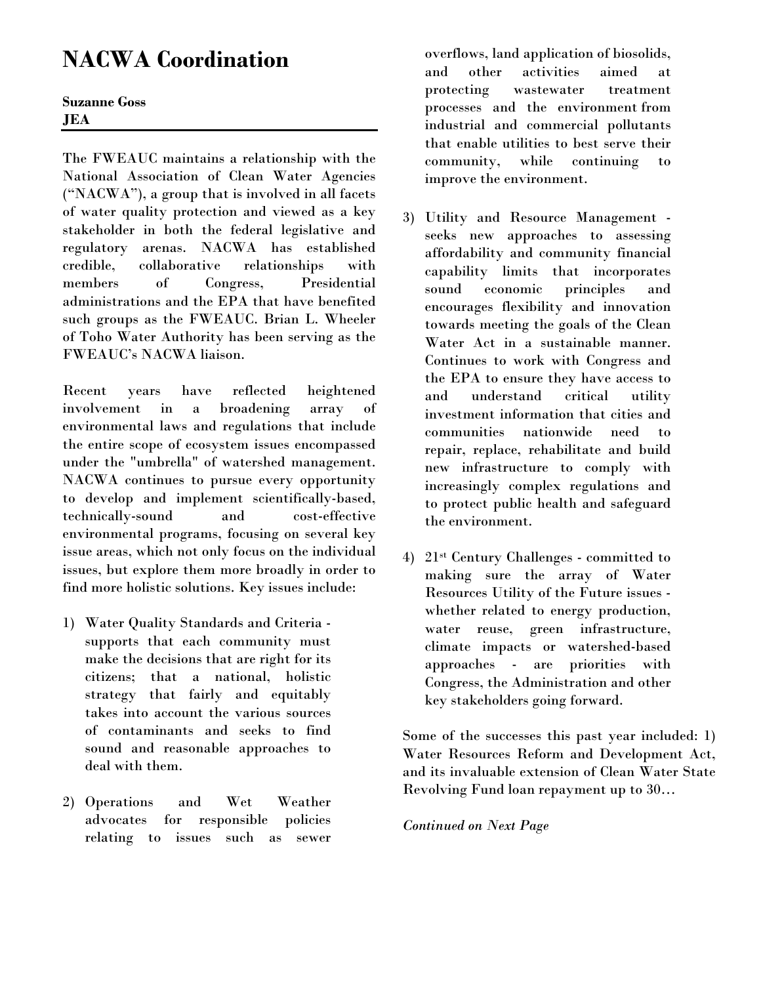## **NACWA Coordination**

**Suzanne Goss JEA** 

The FWEAUC maintains a relationship with the National Association of Clean Water Agencies ("NACWA"), a group that is involved in all facets of water quality protection and viewed as a key stakeholder in both the federal legislative and regulatory arenas. NACWA has established credible, collaborative relationships with members of Congress, Presidential administrations and the EPA that have benefited such groups as the FWEAUC. Brian L. Wheeler of Toho Water Authority has been serving as the FWEAUC's NACWA liaison.

Recent years have reflected heightened involvement in a broadening array of environmental laws and regulations that include the entire scope of ecosystem issues encompassed under the "umbrella" of watershed management. NACWA continues to pursue every opportunity to develop and implement scientifically-based, technically-sound and cost-effective environmental programs, focusing on several key issue areas, which not only focus on the individual issues, but explore them more broadly in order to find more holistic solutions. Key issues include:

- 1) Water Quality Standards and Criteria supports that each community must make the decisions that are right for its citizens; that a national, holistic strategy that fairly and equitably takes into account the various sources of contaminants and seeks to find sound and reasonable approaches to deal with them.
- 2) Operations and Wet Weather advocates for responsible policies relating to issues such as sewer

overflows, land application of biosolids, and other activities aimed at protecting wastewater treatment processes and the environment from industrial and commercial pollutants that enable utilities to best serve their community, while continuing to improve the environment.

- 3) Utility and Resource Management seeks new approaches to assessing affordability and community financial capability limits that incorporates sound economic principles and encourages flexibility and innovation towards meeting the goals of the Clean Water Act in a sustainable manner. Continues to work with Congress and the EPA to ensure they have access to and understand critical utility investment information that cities and communities nationwide need to repair, replace, rehabilitate and build new infrastructure to comply with increasingly complex regulations and to protect public health and safeguard the environment.
- 4) 21st Century Challenges committed to making sure the array of Water Resources Utility of the Future issues whether related to energy production, water reuse, green infrastructure, climate impacts or watershed-based approaches - are priorities with Congress, the Administration and other key stakeholders going forward.

Some of the successes this past year included: 1) Water Resources Reform and Development Act, and its invaluable extension of Clean Water State Revolving Fund loan repayment up to 30…

*Continued on Next Page*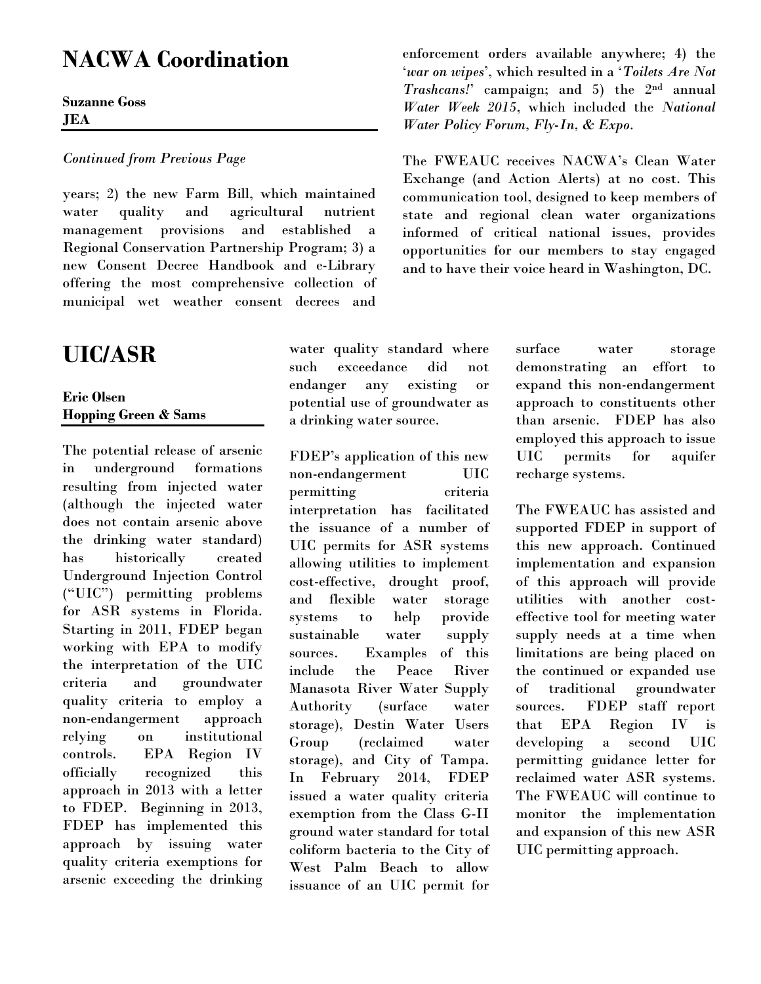## **NACWA Coordination**

**Suzanne Goss JEA** 

#### *Continued from Previous Page*

years; 2) the new Farm Bill, which maintained water quality and agricultural nutrient management provisions and established a Regional Conservation Partnership Program; 3) a new Consent Decree Handbook and e-Library offering the most comprehensive collection of municipal wet weather consent decrees and

## **UIC/ASR**

#### **Eric Olsen Hopping Green & Sams**

The potential release of arsenic in underground formations resulting from injected water (although the injected water does not contain arsenic above the drinking water standard) has historically created Underground Injection Control ("UIC") permitting problems for ASR systems in Florida. Starting in 2011, FDEP began working with EPA to modify the interpretation of the UIC criteria and groundwater quality criteria to employ a non-endangerment approach relying on institutional controls. EPA Region IV officially recognized this approach in 2013 with a letter to FDEP. Beginning in 2013, FDEP has implemented this approach by issuing water quality criteria exemptions for arsenic exceeding the drinking water quality standard where such exceedance did not endanger any existing or potential use of groundwater as a drinking water source.

FDEP's application of this new non-endangerment UIC permitting criteria interpretation has facilitated the issuance of a number of UIC permits for ASR systems allowing utilities to implement cost-effective, drought proof, and flexible water storage systems to help provide sustainable water supply sources. Examples of this include the Peace River Manasota River Water Supply Authority (surface water storage), Destin Water Users Group (reclaimed water storage), and City of Tampa. In February 2014, FDEP issued a water quality criteria exemption from the Class G-II ground water standard for total coliform bacteria to the City of West Palm Beach to allow issuance of an UIC permit for

enforcement orders available anywhere; 4) the '*war on wipes*', which resulted in a '*Toilets Are Not Trashcans!*' campaign; and 5) the 2nd annual *Water Week 2015*, which included the *National Water Policy Forum, Fly-In, & Expo*.

The FWEAUC receives NACWA's Clean Water Exchange (and Action Alerts) at no cost. This communication tool, designed to keep members of state and regional clean water organizations informed of critical national issues, provides opportunities for our members to stay engaged and to have their voice heard in Washington, DC.

> surface water storage demonstrating an effort to expand this non-endangerment approach to constituents other than arsenic. FDEP has also employed this approach to issue UIC permits for aquifer recharge systems.

> The FWEAUC has assisted and supported FDEP in support of this new approach. Continued implementation and expansion of this approach will provide utilities with another costeffective tool for meeting water supply needs at a time when limitations are being placed on the continued or expanded use of traditional groundwater sources. FDEP staff report that EPA Region IV is developing a second UIC permitting guidance letter for reclaimed water ASR systems. The FWEAUC will continue to monitor the implementation and expansion of this new ASR UIC permitting approach.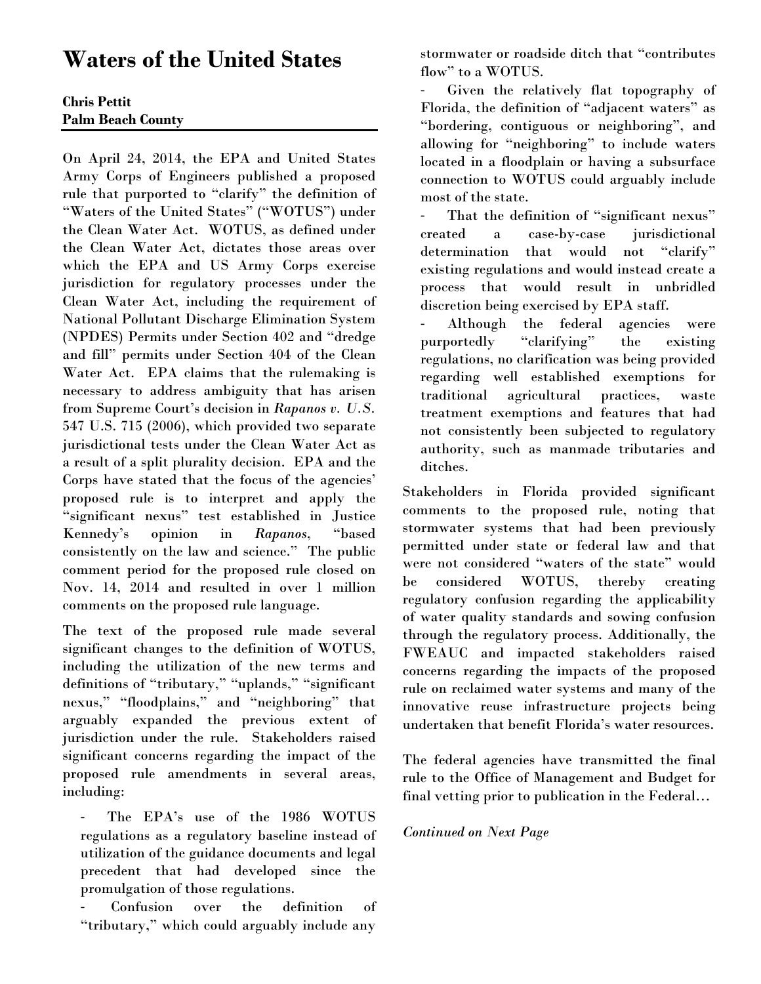## **Waters of the United States**

### **Chris Pettit Palm Beach County**

On April 24, 2014, the EPA and United States Army Corps of Engineers published a proposed rule that purported to "clarify" the definition of "Waters of the United States" ("WOTUS") under the Clean Water Act. WOTUS, as defined under the Clean Water Act, dictates those areas over which the EPA and US Army Corps exercise jurisdiction for regulatory processes under the Clean Water Act, including the requirement of National Pollutant Discharge Elimination System (NPDES) Permits under Section 402 and "dredge and fill" permits under Section 404 of the Clean Water Act. EPA claims that the rulemaking is necessary to address ambiguity that has arisen from Supreme Court's decision in *Rapanos v. U.S.*  547 U.S. 715 (2006), which provided two separate jurisdictional tests under the Clean Water Act as a result of a split plurality decision. EPA and the Corps have stated that the focus of the agencies' proposed rule is to interpret and apply the "significant nexus" test established in Justice Kennedy's opinion in *Rapanos*, "based consistently on the law and science." The public comment period for the proposed rule closed on Nov. 14, 2014 and resulted in over 1 million comments on the proposed rule language.

The text of the proposed rule made several significant changes to the definition of WOTUS, including the utilization of the new terms and definitions of "tributary," "uplands," "significant nexus," "floodplains," and "neighboring" that arguably expanded the previous extent of jurisdiction under the rule. Stakeholders raised significant concerns regarding the impact of the proposed rule amendments in several areas, including:

‐ The EPA's use of the 1986 WOTUS regulations as a regulatory baseline instead of utilization of the guidance documents and legal precedent that had developed since the promulgation of those regulations.

‐ Confusion over the definition of "tributary," which could arguably include any stormwater or roadside ditch that "contributes flow" to a WOTUS.

‐ Given the relatively flat topography of Florida, the definition of "adjacent waters" as "bordering, contiguous or neighboring", and allowing for "neighboring" to include waters located in a floodplain or having a subsurface connection to WOTUS could arguably include most of the state.

That the definition of "significant nexus" created a case-by-case jurisdictional determination that would not "clarify" existing regulations and would instead create a process that would result in unbridled discretion being exercised by EPA staff.

Although the federal agencies were purportedly "clarifying" the existing regulations, no clarification was being provided regarding well established exemptions for traditional agricultural practices, waste treatment exemptions and features that had not consistently been subjected to regulatory authority, such as manmade tributaries and ditches.

Stakeholders in Florida provided significant comments to the proposed rule, noting that stormwater systems that had been previously permitted under state or federal law and that were not considered "waters of the state" would be considered WOTUS, thereby creating regulatory confusion regarding the applicability of water quality standards and sowing confusion through the regulatory process. Additionally, the FWEAUC and impacted stakeholders raised concerns regarding the impacts of the proposed rule on reclaimed water systems and many of the innovative reuse infrastructure projects being undertaken that benefit Florida's water resources.

The federal agencies have transmitted the final rule to the Office of Management and Budget for final vetting prior to publication in the Federal…

#### *Continued on Next Page*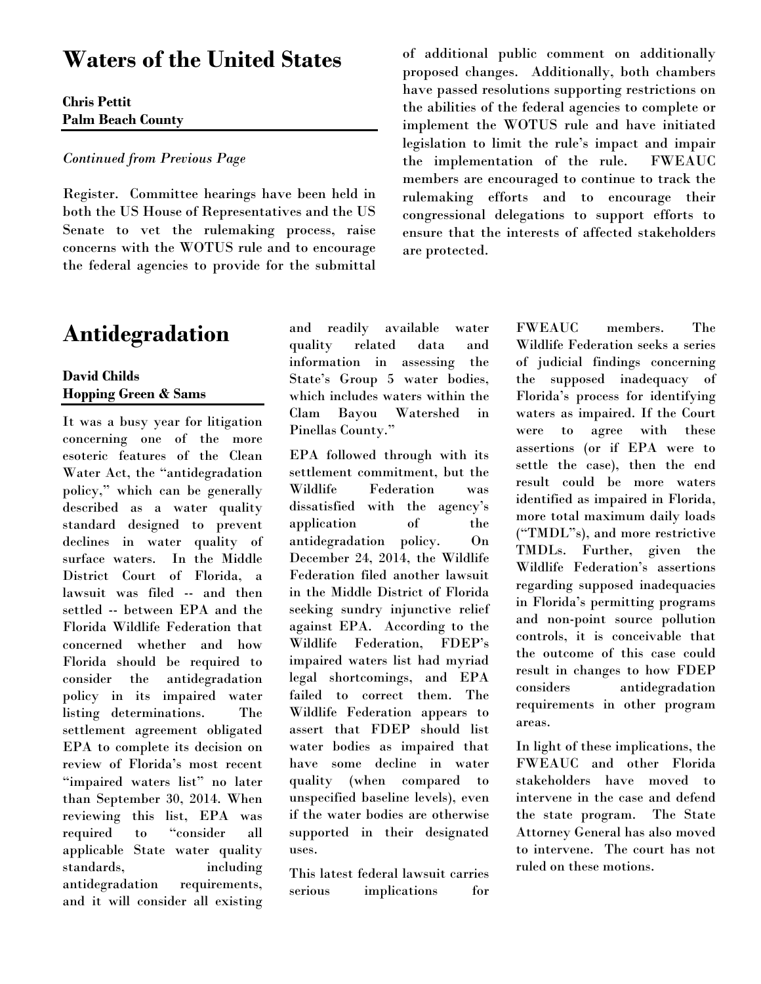## **Waters of the United States**

#### **Chris Pettit Palm Beach County**

#### *Continued from Previous Page*

Register. Committee hearings have been held in both the US House of Representatives and the US Senate to vet the rulemaking process, raise concerns with the WOTUS rule and to encourage the federal agencies to provide for the submittal

## **Antidegradation**

#### **David Childs Hopping Green & Sams**

It was a busy year for litigation concerning one of the more esoteric features of the Clean Water Act, the "antidegradation policy," which can be generally described as a water quality standard designed to prevent declines in water quality of surface waters. In the Middle District Court of Florida, a lawsuit was filed -- and then settled -- between EPA and the Florida Wildlife Federation that concerned whether and how Florida should be required to consider the antidegradation policy in its impaired water listing determinations. The settlement agreement obligated EPA to complete its decision on review of Florida's most recent "impaired waters list" no later than September 30, 2014. When reviewing this list, EPA was required to "consider all applicable State water quality standards, including antidegradation requirements, and it will consider all existing

and readily available water quality related data and information in assessing the State's Group 5 water bodies, which includes waters within the Clam Bayou Watershed in Pinellas County."

EPA followed through with its settlement commitment, but the Wildlife Federation was dissatisfied with the agency's application of the antidegradation policy. On December 24, 2014, the Wildlife Federation filed another lawsuit in the Middle District of Florida seeking sundry injunctive relief against EPA. According to the Wildlife Federation, FDEP's impaired waters list had myriad legal shortcomings, and EPA failed to correct them. The Wildlife Federation appears to assert that FDEP should list water bodies as impaired that have some decline in water quality (when compared to unspecified baseline levels), even if the water bodies are otherwise supported in their designated uses.

This latest federal lawsuit carries serious implications for

of additional public comment on additionally proposed changes. Additionally, both chambers have passed resolutions supporting restrictions on the abilities of the federal agencies to complete or implement the WOTUS rule and have initiated legislation to limit the rule's impact and impair the implementation of the rule. FWEAUC members are encouraged to continue to track the rulemaking efforts and to encourage their congressional delegations to support efforts to ensure that the interests of affected stakeholders are protected.

> FWEAUC members. The Wildlife Federation seeks a series of judicial findings concerning the supposed inadequacy of Florida's process for identifying waters as impaired. If the Court were to agree with these assertions (or if EPA were to settle the case), then the end result could be more waters identified as impaired in Florida, more total maximum daily loads ("TMDL"s), and more restrictive TMDLs. Further, given the Wildlife Federation's assertions regarding supposed inadequacies in Florida's permitting programs and non-point source pollution controls, it is conceivable that the outcome of this case could result in changes to how FDEP considers antidegradation requirements in other program areas.

In light of these implications, the FWEAUC and other Florida stakeholders have moved to intervene in the case and defend the state program. The State Attorney General has also moved to intervene. The court has not ruled on these motions.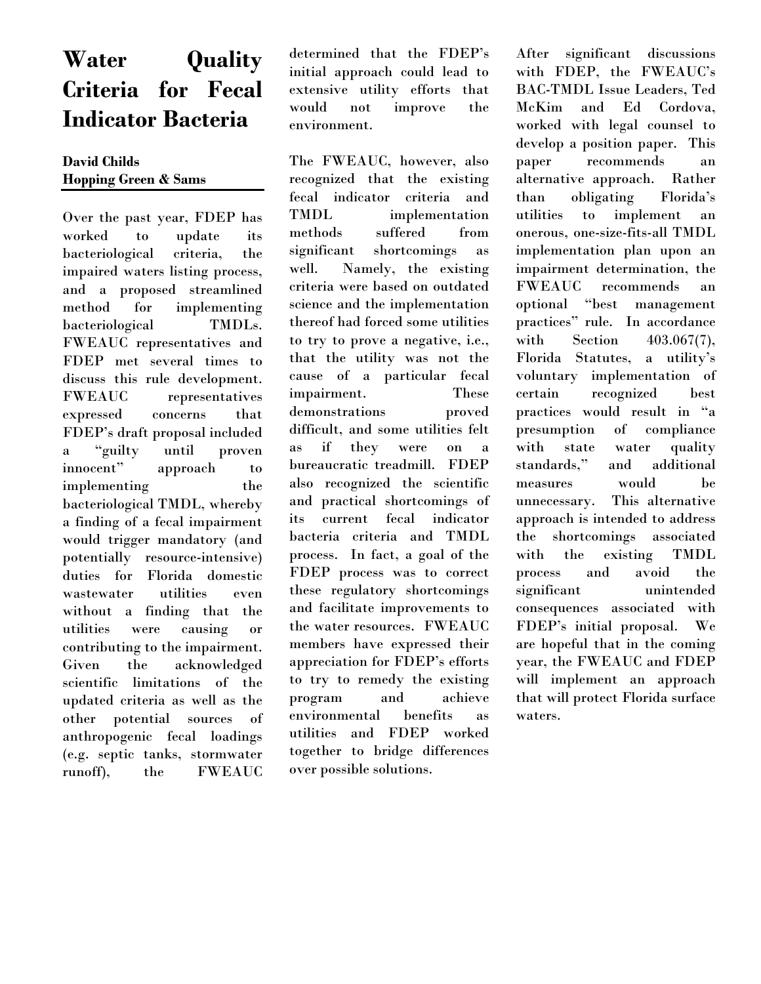## **Water Quality Criteria for Fecal Indicator Bacteria**

#### **David Childs Hopping Green & Sams**

Over the past year, FDEP has worked to update its bacteriological criteria, the impaired waters listing process, and a proposed streamlined method for implementing bacteriological TMDLs. FWEAUC representatives and FDEP met several times to discuss this rule development. FWEAUC representatives expressed concerns that FDEP's draft proposal included a "guilty until proven innocent" approach to implementing the bacteriological TMDL, whereby a finding of a fecal impairment would trigger mandatory (and potentially resource-intensive) duties for Florida domestic wastewater utilities even without a finding that the utilities were causing or contributing to the impairment. Given the acknowledged scientific limitations of the updated criteria as well as the other potential sources of anthropogenic fecal loadings (e.g. septic tanks, stormwater runoff), the FWEAUC determined that the FDEP's initial approach could lead to extensive utility efforts that would not improve the environment.

The FWEAUC, however, also recognized that the existing fecal indicator criteria and TMDL implementation methods suffered from significant shortcomings as well. Namely, the existing criteria were based on outdated science and the implementation thereof had forced some utilities to try to prove a negative, i.e., that the utility was not the cause of a particular fecal impairment. These demonstrations proved difficult, and some utilities felt as if they were on a bureaucratic treadmill. FDEP also recognized the scientific and practical shortcomings of its current fecal indicator bacteria criteria and TMDL process. In fact, a goal of the FDEP process was to correct these regulatory shortcomings and facilitate improvements to the water resources. FWEAUC members have expressed their appreciation for FDEP's efforts to try to remedy the existing program and achieve environmental benefits as utilities and FDEP worked together to bridge differences over possible solutions.

After significant discussions with FDEP, the FWEAUC's BAC-TMDL Issue Leaders, Ted McKim and Ed Cordova, worked with legal counsel to develop a position paper. This paper recommends an alternative approach. Rather than obligating Florida's utilities to implement an onerous, one-size-fits-all TMDL implementation plan upon an impairment determination, the FWEAUC recommends an optional "best management practices" rule. In accordance with Section 403.067(7), Florida Statutes, a utility's voluntary implementation of certain recognized best practices would result in "a presumption of compliance with state water quality standards," and additional measures would be unnecessary. This alternative approach is intended to address the shortcomings associated with the existing TMDL process and avoid the significant unintended consequences associated with FDEP's initial proposal. We are hopeful that in the coming year, the FWEAUC and FDEP will implement an approach that will protect Florida surface waters.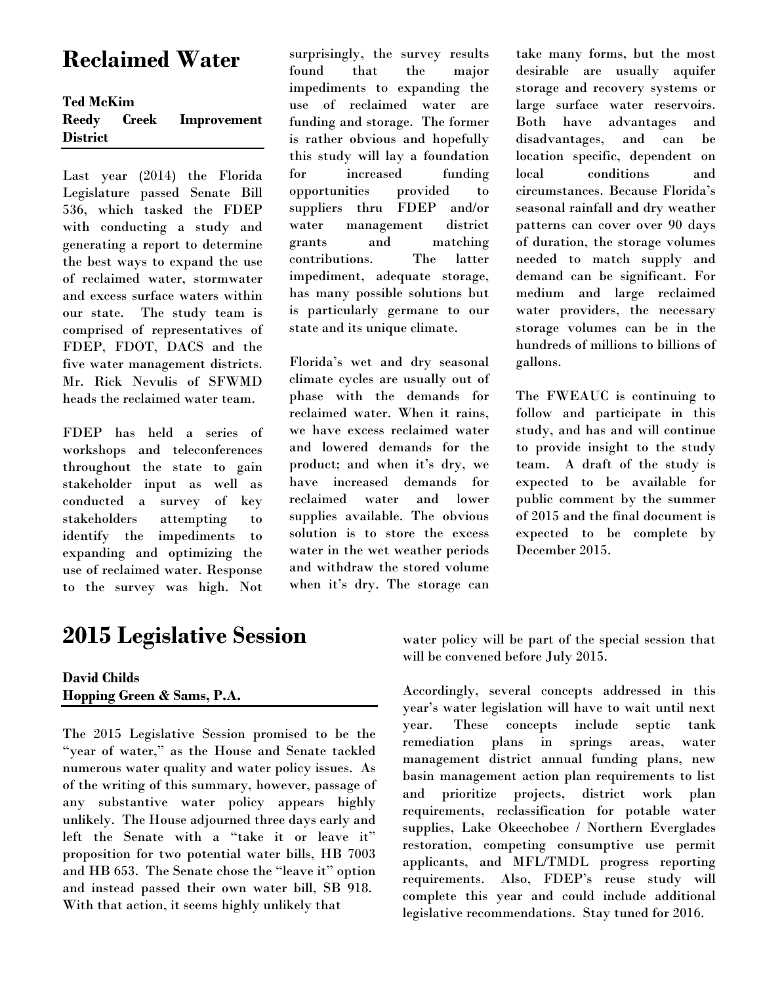## **Reclaimed Water**

#### **Ted McKim**

| Reedy           | Creek | <b>Improvement</b> |
|-----------------|-------|--------------------|
| <b>District</b> |       |                    |

Last year (2014) the Florida Legislature passed Senate Bill 536, which tasked the FDEP with conducting a study and generating a report to determine the best ways to expand the use of reclaimed water, stormwater and excess surface waters within our state. The study team is comprised of representatives of FDEP, FDOT, DACS and the five water management districts. Mr. Rick Nevulis of SFWMD heads the reclaimed water team.

FDEP has held a series of workshops and teleconferences throughout the state to gain stakeholder input as well as conducted a survey of key stakeholders attempting to identify the impediments to expanding and optimizing the use of reclaimed water. Response to the survey was high. Not

## **2015 Legislative Session**

#### **David Childs Hopping Green & Sams, P.A.**

The 2015 Legislative Session promised to be the "year of water," as the House and Senate tackled numerous water quality and water policy issues. As of the writing of this summary, however, passage of any substantive water policy appears highly unlikely. The House adjourned three days early and left the Senate with a "take it or leave it" proposition for two potential water bills, HB 7003 and HB 653. The Senate chose the "leave it" option and instead passed their own water bill, SB 918. With that action, it seems highly unlikely that

surprisingly, the survey results found that the major impediments to expanding the use of reclaimed water are funding and storage. The former is rather obvious and hopefully this study will lay a foundation for increased funding opportunities provided to suppliers thru FDEP and/or water management district grants and matching contributions. The latter impediment, adequate storage, has many possible solutions but is particularly germane to our state and its unique climate.

Florida's wet and dry seasonal climate cycles are usually out of phase with the demands for reclaimed water. When it rains, we have excess reclaimed water and lowered demands for the product; and when it's dry, we have increased demands for reclaimed water and lower supplies available. The obvious solution is to store the excess water in the wet weather periods and withdraw the stored volume when it's dry. The storage can

take many forms, but the most desirable are usually aquifer storage and recovery systems or large surface water reservoirs. Both have advantages and disadvantages, and can be location specific, dependent on local conditions and circumstances. Because Florida's seasonal rainfall and dry weather patterns can cover over 90 days of duration, the storage volumes needed to match supply and demand can be significant. For medium and large reclaimed water providers, the necessary storage volumes can be in the hundreds of millions to billions of gallons.

The FWEAUC is continuing to follow and participate in this study, and has and will continue to provide insight to the study team. A draft of the study is expected to be available for public comment by the summer of 2015 and the final document is expected to be complete by December 2015.

water policy will be part of the special session that will be convened before July 2015.

Accordingly, several concepts addressed in this year's water legislation will have to wait until next year. These concepts include septic tank remediation plans in springs areas, water management district annual funding plans, new basin management action plan requirements to list and prioritize projects, district work plan requirements, reclassification for potable water supplies, Lake Okeechobee / Northern Everglades restoration, competing consumptive use permit applicants, and MFL/TMDL progress reporting requirements. Also, FDEP's reuse study will complete this year and could include additional legislative recommendations. Stay tuned for 2016.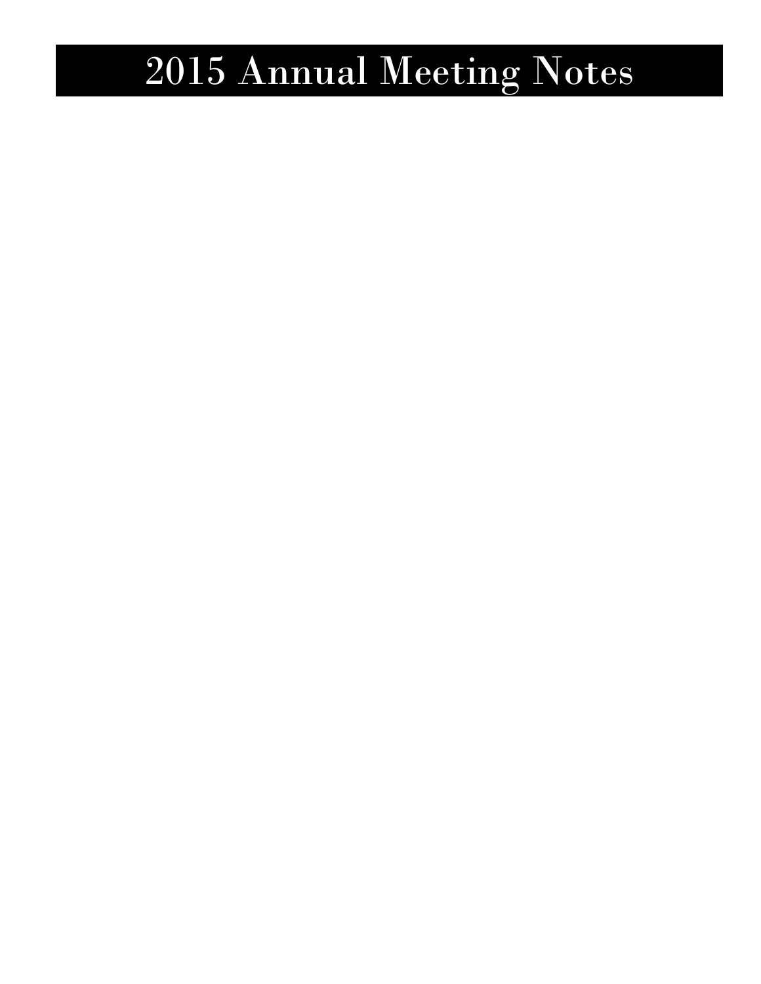## 2015 Annual Meeting Notes